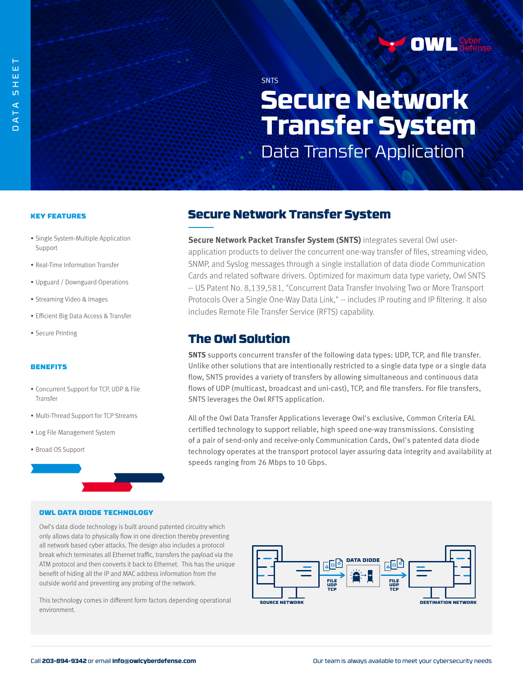**SNTS** 

# **Secure Network Transfer System**  Data Transfer Application

### KEY FEATURES

- Single System-Multiple Application Support
- Real-Time Information Transfer
- Upguard / Downguard Operations
- Streaming Video & Images
- Efficient Big Data Access & Transfer
- Secure Printing

#### **BENEFITS**

- Concurrent Support for TCP, UDP & File **Transfer**
- Multi-Thread Support for TCP Streams
- Log File Management System
- Broad OS Support

## Secure Network Transfer System

**Secure Network Packet Transfer System (SNTS)** integrates several Owl userapplication products to deliver the concurrent one-way transfer of files, streaming video, SNMP, and Syslog messages through a single installation of data diode Communication Cards and related software drivers. Optimized for maximum data type variety, Owl SNTS -- US Patent No. 8,139,581, "Concurrent Data Transfer Involving Two or More Transport Protocols Over a Single One-Way Data Link," -- includes IP routing and IP filtering. It also includes Remote File Transfer Service (RFTS) capability.

### The Owl Solution

**SNTS** supports concurrent transfer of the following data types: UDP, TCP, and file transfer. Unlike other solutions that are intentionally restricted to a single data type or a single data flow, SNTS provides a variety of transfers by allowing simultaneous and continuous data flows of UDP (multicast, broadcast and uni-cast), TCP, and file transfers. For file transfers, SNTS leverages the Owl RFTS application.

All of the Owl Data Transfer Applications leverage Owl's exclusive, Common Criteria EAL certified technology to support reliable, high speed one-way transmissions. Consisting of a pair of send-only and receive-only Communication Cards, Owl's patented data diode technology operates at the transport protocol layer assuring data integrity and availability at speeds ranging from 26 Mbps to 10 Gbps.

### OWL DATA DIODE TECHNOLOGY

Owl's data diode technology is built around patented circuitry which only allows data to physically flow in one direction thereby preventing all network based cyber attacks. The design also includes a protocol break which terminates all Ethernet traffic, transfers the payload via the ATM protocol and then converts it back to Ethernet. This has the unique benefit of hiding all the IP and MAC address information from the outside world and preventing any probing of the network.

This technology comes in different form factors depending operational environment.